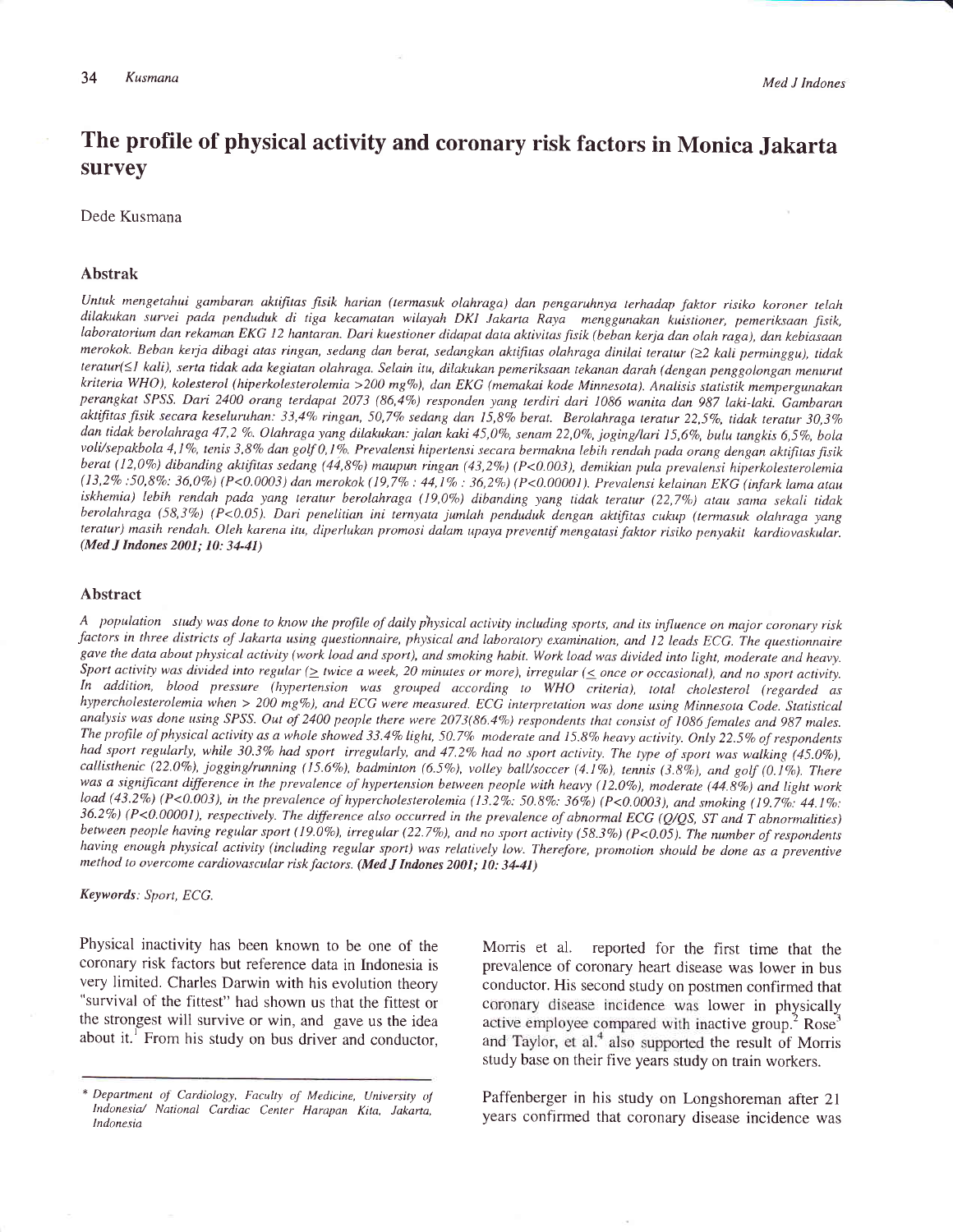# The profile of physical activity and coronary risk factors in Monica Jakarta survey

Dede Kusmana

#### Abstrak

Untuk mengetahui gambaran aktifitas fisik harian (termasuk olahraga) dan pengaruhnya terhadap faktor risiko koroner telah dilakukan survei pada penduduk di tiga kecamatan wilayah DKI Jakarta Raya menggunakan kuistioner, pemeriksaan fisik,<br>laboratorium dan rekaman EKG 12 hantaran. Dari kuestioner didapat data aktivitas fisik (beban kerja dan o merokok. Beban kerja dibagi atas ringan, sedang dan berat, sedangkan aktifitas olahraga dinilai teratur (22 kali perminggu), tidak teratur(≤I kali), serta tidak ada kegiatan olahraga. Selain itu, dilakukan pemeriksaan tekanan darah (dengan penggolongan menurut kriteria WHO), kolesterol (hiperkolesterolemia >200 mg%), dan EKG (memakai kode Minnesota). Analisis statistik mempergunakan perangkat SPSS. Dari 2400 orang terdapat 2073 (86,4%) responden yang terdiri dari 1086 wanita dan 987 laki-laki. Gambaran aktifitas fisik secara keseluruhan: 33,4% ringan, 50,7% sedang dan 15,8% berat. Berolahraga teratur 22,5%, tidak teratur 30,3% dan tidak berolahraga 47,2 %. Olahraga yang dilakukan: jalan kaki 45,0%, senam 22,0%, joging/lari 15,6%, bulu tangkis 6,5%, bola<br>voli/sepakbola 4,1%, tenis 3,8% dan golf 0,1%. Prevalensi hipertensi secara bermakna lebih re berat (12,0%) dibanding aktifitas sedang (44,8%) maupun ringan (43,2%) (P<0.003), demikian pula prevalensi hiperkolesterolemia (13,2Va:50,8Vo: 36,0Vo) (P<0.0003) dan merokok(19,7%:44,lVo; 36,2Vo) (P<0.00001). Prevalensi kelainan EKG (inforklamaatau iskhemia) lebih rendah pada yang teratur berolahraga (19,0%) dibanding yang tidak teratur (22,7%) atau sama sekali tidak berolahraga (58,3%) (P<0.05). Dari penelitian ini ternyata jumlah penduduk dengan aktifitas cukup (termasuk olahraga yang teratur) masih rendah. Oleh karena itu, diperlukan promosi dalam upaya preventif mengatasi faktor risiko penyakit kardiovaskular. (Med J Indones 2001; 10: 34-41)

#### Abstract

A population study was done to know the profile of daily physical activity including sports, and its influence on major coronary risk factors in three districts of Jakarta using questionnaire, physical and laboratory examination, and 12 leads ECG. The questionnaire gave the data about physical activity (work load and sport), and smoking habit. Work load was divided into light, moderate and heavy. Sport activity was divided into regular ( $\geq$  twice a week, 20 minutes or more), irregular ( $\leq$  once or occasional), and no sport activity.<br>In addition, blood pressure (hypertension was grouped according to WHO criteri hypercholesterolemia when > 200 mg%), and ECG were measured. ECG interpretation was done using Minnesota Code. Statistical analysis was done using SPSS. Out of 2400 people there were 2073(86.4%) respondents that consist of 1086 females and 987 males. The profile of physical activity as a whole showed 33.4% light, 50.7% moderate and 15.8% heavy activity. Only 22.5% of respondents had sport regularly, while 30.3% had sport irregularly, and 47.2% had no sport activity. The type of sport was walking (45.0%), callisthenic (22.0%), jogging/running (15.6%), badminton (6.5%), volley ball/soccer (4.1%), tennis (3.8%), and golf (0.1%). There was a significant difference in the prevalence of hypertension between people with heavy (12.0%), moderate (44.8%) and light work load (43.2%) (P<0.003), in the prevalence of hypercholesterolemia (13.2%: 50.8%: 36%) (P<0.0003), and smoking (19.7%: 44.1%: 36.2%) (P<0.00001), respectively. The difference also occurred in the prevalence of abnormal ECG (Q/QS, ST and T abnormalities) between people having regular sport (19.0%), irregular (22.7%), and no sport activity (58.3%) (P<0.05). The number of respondents having enough physical activity (including regular sport) was relatively low. Therefore, promotion should be done as a preventive method to overcome cardiovascular risk factors. (Med J Indones 2001; 10: 34-41)

Keywords: Sport, ECG.

Physical inactivity has been known to be one of the coronary risk factors but reference data in Indonesia is very limited. Charles Darwin with his evolution theory "survival of the fittest" had shown us that the fittest or the strongest will survive or win, and gave us the idea about it.<sup>1</sup> From his study on bus driver and conductor,

Morris et al. reported for the first time that the prevalence of coronary heart disease was lower in bus conductor. His second study on postmen confirmed that coronary disease incidence was lower in physically active employee compared with inactive group.<sup>2</sup> Rose<sup>3</sup> and Taylor, et al.<sup>4</sup> also supported the result of Morris study base on their five years study on train workers.

Paffenberger in his study on Longshoreman after Zl years confirmed that coronary disease incidence was

<sup>\*</sup> Department of Cardiology, Faculty of Medicine, University of lndonesia./ National Cardiac Center Harapan Kita, Jakarta, lndonesia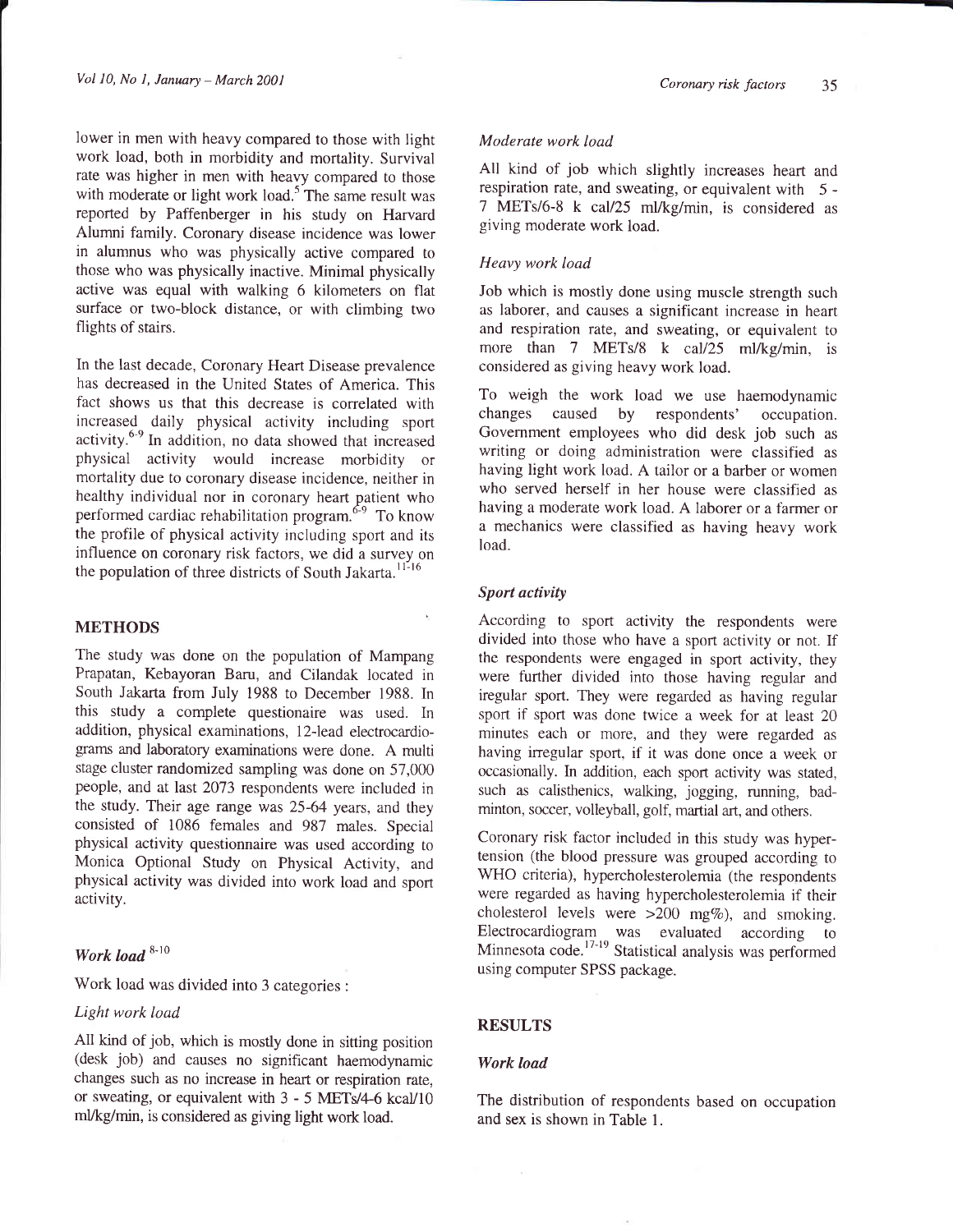lower in men with heavy compared to those with light work load, both in morbidity and mortality. Survival rate was higher in men with heavy compared to those with moderate or light work load.<sup>5</sup> The same result was reported by Paffenberger in his study on Harvard Alumni family. Coronary disease incidence was lower in alumnus who was physically active compared to those who was physically inactive. Minimal physically active was equal with walking 6 kilometers on flat surface or two-block distance, or with climbing two flights of stairs.

In the last decade, Coronary Heart Disease prevalence has decreased in the United States of America. This fact shows us that this decrease is correlated with increased daily physical activity including sport activity.<sup>6-9</sup> In addition, no data showed that increased physical activity would increase morbidity or mortality due to coronary disease incidence, neither in healthy individual nor in coronary heart patient who performed cardiac rehabilitation program.<sup>6-9</sup> To know the profile of physical activity including sport and its influence on coronary risk factors, we did a survey on the population of three districts of South Jakarta.<sup>11-16</sup>

# METHODS

The study was done on the population of Mampang Prapatan, Kebayoran Baru, and Cilandak located in South Jakarta from July 1988 ro December 1988. In this study a complete questionaire was used. In addition, physical examinations, 12-lead electrocardiograms and laboratory examinations were done. A multi stage cluster randomized sampling was done on 57,000 people, and at last 2073 respondents were included in the study. Their age range was 25-64 years, and they consisted of 1086 females and 987 males. Special physical activity questionnaire was used according to Monica Optional Study on Physical Activity, and physical activity was divided into work load and sport activity.

# Work load  $8-10$

Work load was divided into 3 categories :

## Light work load

All kind of job, which is mostly done in sitting position (desk job) and causes no significant haemodynamic changes such as no increase in heart or respiration rate, or sweating, or equivalent with  $3 - 5$  METs/4-6 kcal/10 mVkg/min, is considered as giving light work load.

## Moderate work load

All kind of job which slightly increases heart and respiration rate, and sweating, or equivalent with 5 -7 METs/6-8 k cal/25 ml/kg/min, is considered as giving moderate work load.

# Heavy work load

Job which is mostly done using muscle strength such as laborer, and causes a significant increase in heart and respiration rate, and sweating, or equivalent to more than 7 METs/8 k cal/25 ml/kg/min, is considered as giving heavy work load.

To weigh the work load we use haemodynamic changes caused by respondents' occupation. Govemment employees who did desk job such as writing or doing administration were classified as having light work load. A tailor or a barber or women who served herself in her house were classified as having a moderate work load. A laborer or a fàrmer or a mechanics were classified as having heavy work load.

# Sport activity

According to sport activity the respondents were divided into those who have a sport activity or not. If the respondents were engaged in sport activity, they were turther divided into those having regular and iregular sport. They were regarded as having regular sport if sport was done twice a week for at least <sup>20</sup> minutes each or more, and they were regarded as having irregular sport, if it was done once a week or occasionally. In addition, each sport activity was stated, such as calisthenics, walking, jogging, running, badminton, soccer, volleyball, golf, martial art, and others.

Coronary risk factor included in this study was hypertension (the blood pressure was grouped according to WHO criteria), hypercholesterolemia (the respondents were regarded as having hypercholesterolemia if their cholesterol levels were  $>200$  mg%), and smoking. Electrocardiogram was evaluated according to Minnesota code.<sup>17-19</sup> Statistical analysis was performed using computer SPSS package.

# RESULTS

## Work load

The distribution of respondents based on occupation and sex is shown in Table l.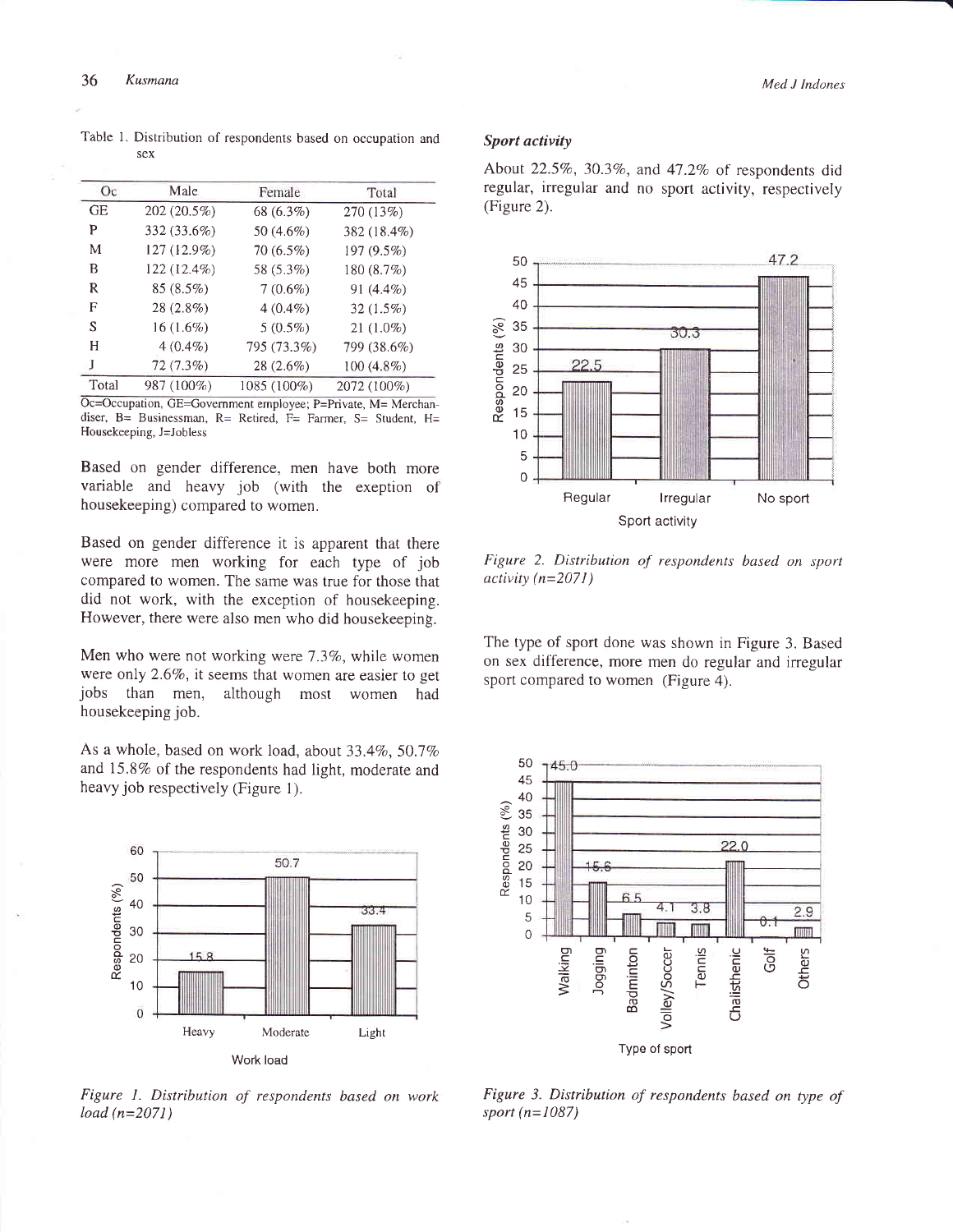|  | Table 1. Distribution of respondents based on occupation and |  |  |  |
|--|--------------------------------------------------------------|--|--|--|
|  | sex                                                          |  |  |  |

| Oc        | Male        | Female      | Total       |
|-----------|-------------|-------------|-------------|
| <b>GE</b> | 202 (20.5%) | 68 (6.3%)   | 270 (13%)   |
| P         | 332 (33.6%) | 50 (4.6%)   | 382 (18.4%) |
| M         | 127 (12.9%) | 70 (6.5%)   | 197 (9.5%)  |
| B         | 122 (12.4%) | 58 (5.3%)   | 180 (8.7%)  |
| R         | 85 (8.5%)   | $7(0.6\%)$  | 91 (4.4%)   |
| F         | 28 (2.8%)   | $4(0.4\%)$  | $32(1.5\%)$ |
| S         | $16(1.6\%)$ | $5(0.5\%)$  | $21(1.0\%)$ |
| Н         | $4(0.4\%)$  | 795 (73.3%) | 799 (38.6%) |
| J         | $72(7.3\%)$ | 28 (2.6%)   | 100 (4.8%)  |
| Total     | 987 (100%)  | 1085 (100%) | 2072 (100%) |

Oc=Occupation, GE=Govemment employee; P=Private, M= Merchandiser, B= Businessman, R= Retired, F= Farmer, S= Student, H= Housekeeping, J=Jobless

Based on gender difference, men have both more variable and heavy job (with the exeption of housekeeping) compared to women.

Based on gender difference it is apparent that there were more men working for each type of job compared to women. The same was true for those that did not work, with the exception of housekeeping. However, there were also men who did housekeeping.

Men who were not working were  $7.3\%$ , while women were only 2.6%, it seems that women are easier to get jobs than men, although most women had housekeeping job.

As a whole, based on work load, about  $33.4\%$ ,  $50.7\%$ and 15.8% of the respondents had light, moderate and heavy job respectively (Figure 1).



Figure I. Distribution of respondents based on work load (n=2071)

# Sport activity

About  $22.5\%$ ,  $30.3\%$ , and  $47.2\%$  of respondents did regular, irregular and no sport activity, respectively (Figure 2).



Figure 2. Distribution of respondents based on sport activity  $(n=2071)$ 

The type of sport done was shown in Figure 3. Based on sex difference, more men do regular and irregular sport compared to women (Figure 4).



Figure 3. Distribution of respondents based on type of sport  $(n=1087)$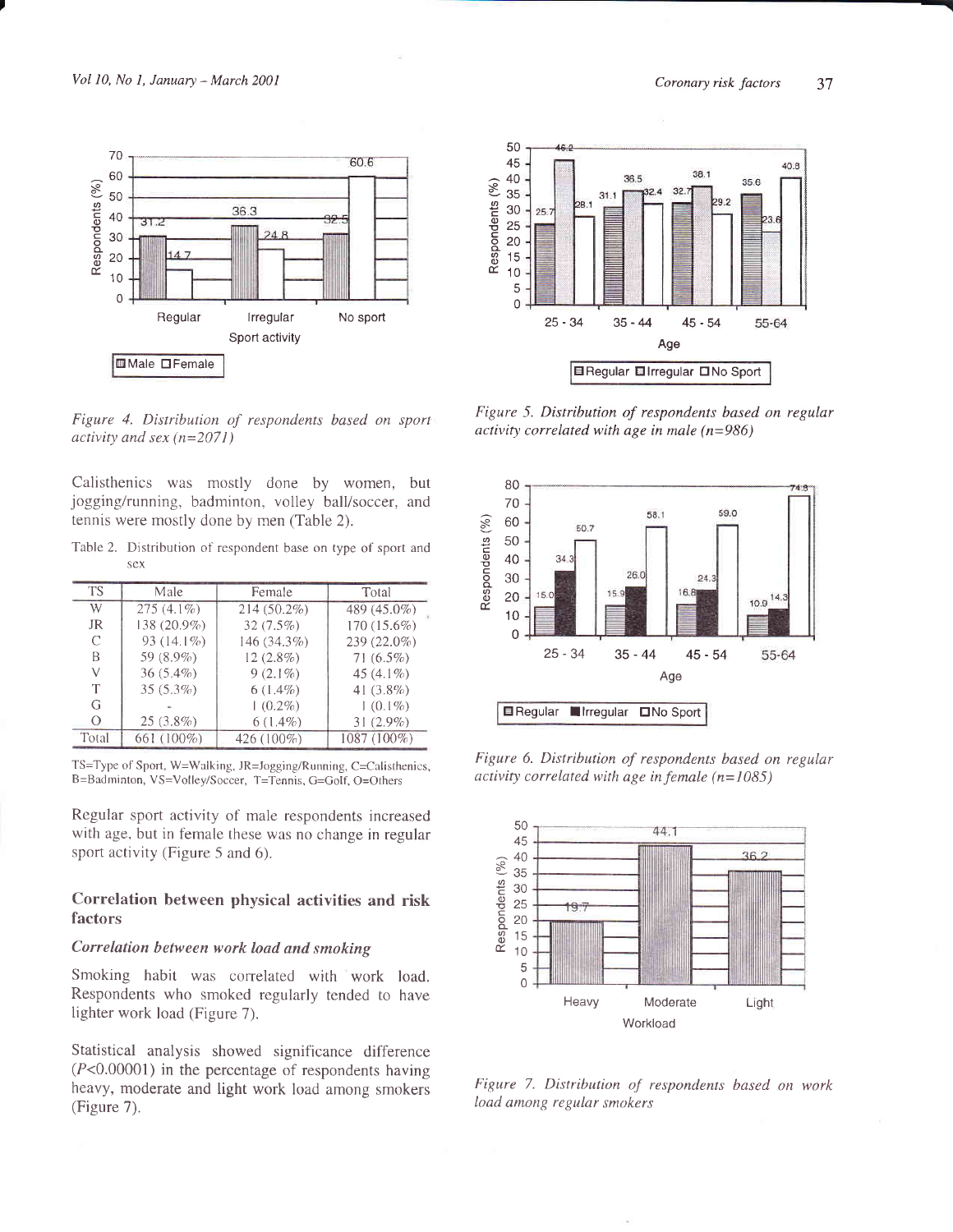

Figure 4. Distribution of respondents based on sporl activity and sex  $(n=2071)$ 

Calisthenics was mostly done by women, but jogging/running, badminton, volley ball/soccer, and tennis were mostly done by rnen (Table 2).

Table 2. Distribution of respondent base on type of sport and sex

| TS        | Male         | Female      | Total        |
|-----------|--------------|-------------|--------------|
| W         | $275(4.1\%)$ | 214 (50.2%) | 489 (45.0%)  |
| <b>JR</b> | 138 (20.9%)  | $32(7.5\%)$ | 170 (15.6%)  |
| C         | 93 (14.1%)   | 146 (34.3%) | 239 (22.0%)  |
| B         | 59 $(8.9\%)$ | $12(2.8\%)$ | $71(6.5\%)$  |
| V         | $36(5.4\%)$  | $9(2.1\%)$  | 45 $(4.1\%)$ |
| Т         | $35(5.3\%)$  | $6(1.4\%)$  | 41 $(3.8\%)$ |
| G         |              | $(0.2\%)$   | $1(0.1\%)$   |
| Ω         | $25(3.8\%)$  | $6(1.4\%)$  | $31(2.9\%)$  |
| Total     | 661 (100%)   | 426 (100%)  | 1087 (100%)  |

TS=Type of Sport, W=Walking, JR=Jogging/Running, C=Calisthenics, B=Badrninton, VS=Volley/Soccer, T=Tennis, G=Golf, O=Orhers

Regular sport activity of male respondents increased with age, but in female these was no change in regular sport activity (Figure 5 and 6).

# Correlation between physical activities and risk factors

## Correlation between work load and smoking

Smoking habit was correlated with work load. Respondents who smoked regularly tended to have lighter work load (Figure 7).

Statistical analysis showed significance difference (P<0.00001) in the percentage of respondents having heavy, moderate and light work load among smokers (Figure 7).



Figure 5. Distribution of respondents based on regular activity correlated with age in male  $(n=986)$ 



Figure 6. Distribution of respondents based on regular activity correlated with age in female  $(n=1085)$ 



Figure 7. Distribution of respondents based on workload among regular smokers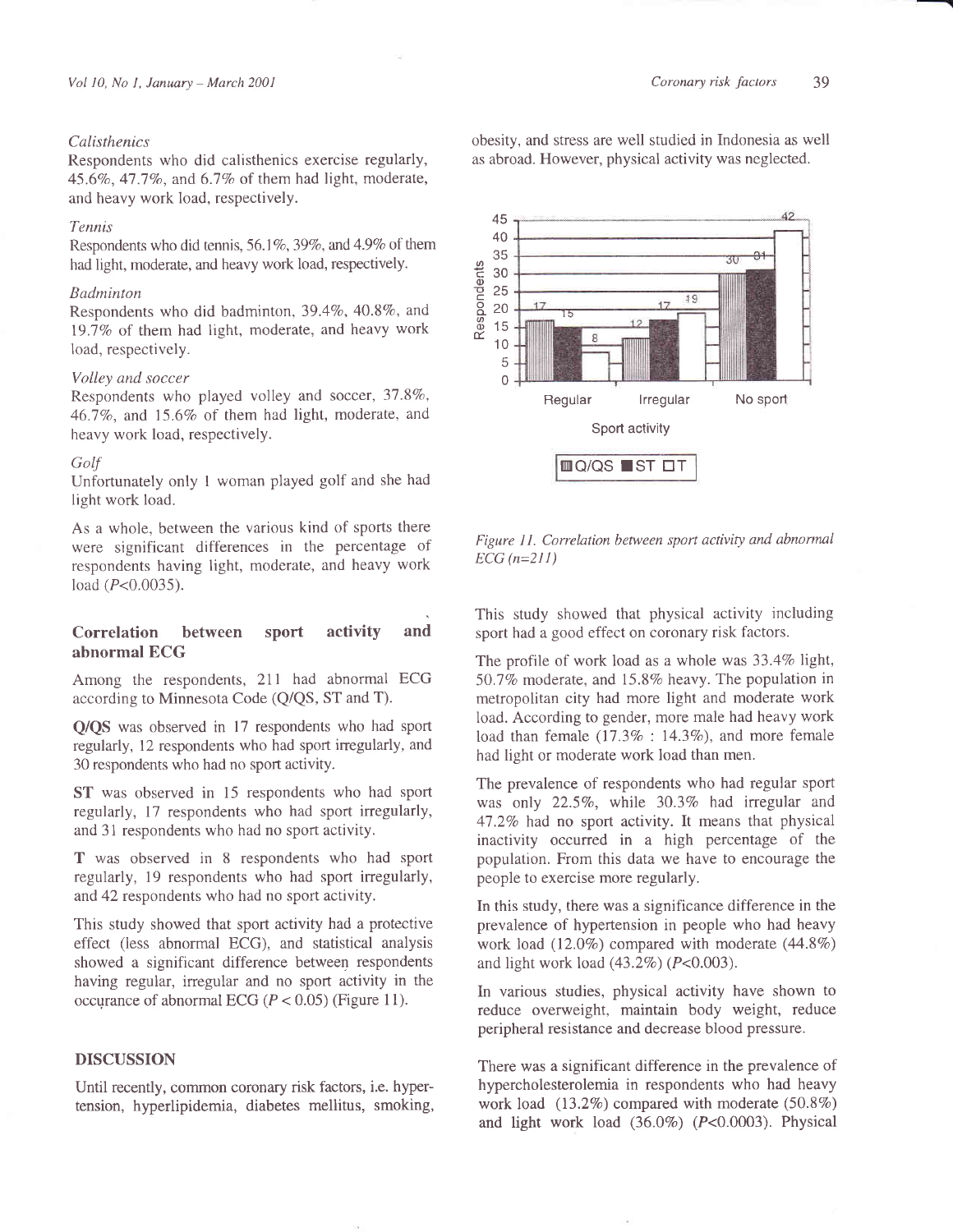#### **Calisthenics**

Respondents who did calisthenics exercise regularly, 45.6%, 47.7%, and  $6.7\%$  of them had light, moderate, and heavy work load, respectively.

#### Tennis

Respondents who did tennis, 56.1%, 39%, and 4.9% of them had light, moderate, and heavy work load, respectively.

#### Badminton

Respondents who did badminton,  $39.4\%$ ,  $40.8\%$ , and 19.7% of them had light, moderate, and heavy work load, respectively.

## Volley and soccer

Respondents who played volley and soccer, 37.8%, 46.7%, and 15.6% of them had light, moderate, and heavy work load, respectively.

#### Golf

Unfortunately only I woman played golf and she had light work load.

As a whole, between the various kind of sports there were significant diffèrences in the percentage of respondents having light, moderate, and heavy work load (*P<*0.0035).

# Correlation between sport activity and abnormal BCG

Among the respondents, 211 had abnormal ECG according to Minnesota Code (Q/QS, ST and T).

Q/QS was observed in 17 respondents who had sport regularly, 12 respondents who had sport inegularly, and 30 respondents who had no sport activity.

ST was observed in 15 respondents who had sport regularly, 17 respondents who had sport irregularly, and 31 respondents who had no sport activity.

T was observed in 8 respondents who had sport regularly, 19 respondents who had sport irregularly, and 42 respondents who had no sport activity.

This study showed that sport activity had a protective effect (less abnormal ECG), and statistical analysis showed a significant difference between respondents having regular, irregular and no sport activity in the occurance of abnormal ECG ( $P < 0.05$ ) (Figure 11).

# DISCUSSION

Until recently, common coronary risk factors, i.e. hypertension, hyperlipidemia, diabetes mellitus, smoking, obesity, and stress are well studied in Indonesia as well as abroad. However, physical activity was neglected.



Figure 11. Correlation between sport activity and abnormal  $ECG (n=211)$ 

This study showed that physical activity including sport had a good effect on coronary risk factors.

The profile of work load as a whole was  $33.4\%$  light, 50.7% moderate, and 15.8% heavy. The population in metropolitan city had more light and moderate work load. According to gender, more male had heavy work load than female  $(17.3\% : 14.3\%)$ , and more female had light or moderate work load than men.

The prevalence of respondents who had regular sport was only  $22.5\%$ , while  $30.3\%$  had irregular and 47.2% had no sport activity. It means that physical inactivity occurred in a high percentage of the population. From this data we have to encourage the people to exercise more regularly.

In this study, there was a significance difference in the prevalence of hypertension in people who had heavy work load  $(12.0\%)$  compared with moderate  $(44.8\%)$ and light work load  $(43.2\%)$  ( $P<0.003$ ).

In various studies, physical activity have shown to reduce overweight, maintain body weight, reduce peripheral resistance and decrease blood pressure.

There was a significant difference in the prevalence of hypercholesterolemia in respondents who had heavy work load  $(13.2\%)$  compared with moderate  $(50.8\%)$ and light work load  $(36.0\%)$   $(P<0.0003)$ . Physical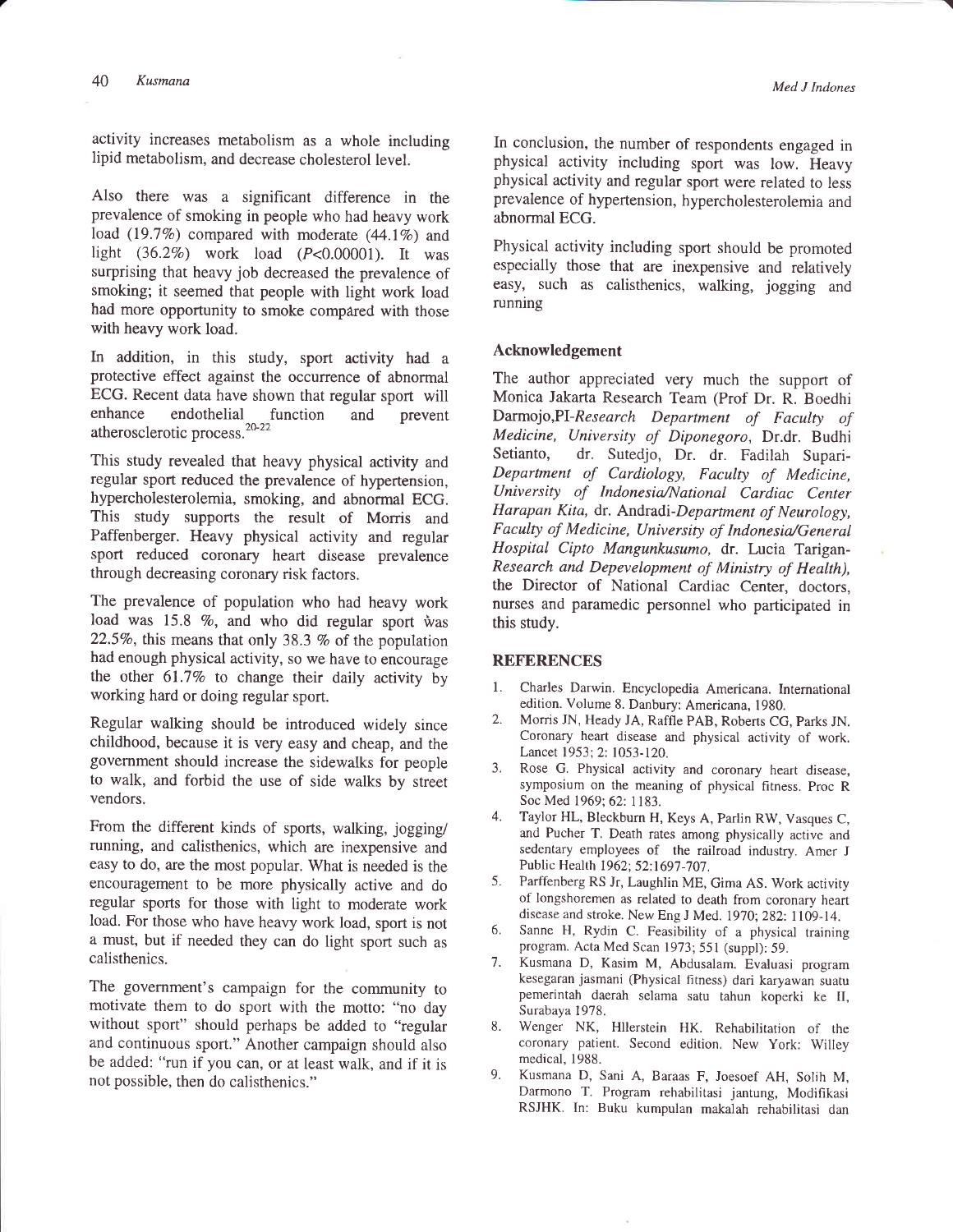activity increases metabolism as a whole including lipid metabolism, and decrease cholesterol level.

Also there was a significant difference in the prevalence of smoking in people who had heavy work load (19.7%) compared with moderate  $(44.1\%)$  and light  $(36.2\%)$  work load  $(P<0.00001)$ . It was surprising that heavy job decreased the prevalence of smoking; it seemed that people with light work load had more opportunity to smoke compâred with those with heavy work load.

In addition, in this study, sport activity had <sup>a</sup> protective effect against the occurrence of abnormal ECG. Recent data have shown that regular sport will enhance endothelial function and prevent atherosclerotic process.<sup>20-22</sup>

This study revealed that heavy physical activity and regular sport reduced the prevalence of hypertension, hypercholesterolemia, smoking, and abnormal ECG. This study supports the result of Morris and Paffenberger. Heavy physical activity and regular sport reduced coronary heart disease prevalence through decreasing coronary risk factors.

The prevalence of population who had heavy work load was 15.8  $\%$ , and who did regular sport was 22.5%, this means that only 38.3 % of the population had enough physical activity, so we have to encourage the other  $61.7\%$  to change their daily activity by working hard or doing regular sport.

Regular walking should be introduced widely since childhood, because it is very easy and cheap, and the government should increase the sidewalks for people to walk, and forbid the use of side walks by street vendors.

From the different kinds of sports, walking, jogging/ running, and calisthenics, which are inexpensive and easy to do, are the most popular. What is needed is the encouragement to be more physically active and do regular sports for those with light to moderate work load. For those who have heavy work load, sport is not a must, but if needed they can do light sport such as calisthenics.

The government's campaign for the community to motivate them to do sport with the motto: "no day without sport" should perhaps be added to "regular and continuous sport." Another campaign should also be added: "run if you can, or at least walk, and if it is not possible, then do calisthenics."

-t

In conclusion, the number of respondents engaged in physical activity including sport was low. Heavy physical activity and regular sport were related to less prevalence of hypertension, hypercholesterolemia and abnormal ECG.

Physical activity including sport should be promoted especially those that are inexpensive and relatively easy, such as calisthenics, walking, jogging and running

## Acknowledgement

The author appreciated very much the support of Monica Jakarta Research Team (Prof Dr. R. Boedhi Darmojo,Pl-Research Department of Faculty of Medicine, University of Diponegoro, Dr.dr. Budhi<br>Setianto, dr. Sutedjo, Dr. dr. Fadilah Suparidr. Sutedjo, Dr. dr. Fadilah Supari-Department of Cardiology, Faculty of Medicine, University of Indonesia/National Cardiac Center Harapan Kita, dr. Andradi-Department of Neurology, Faculty of Medicine, University of Indonesia/General Hospital Cipto Mangunkusumo, dr. Lucia Tarigan-Research and Depevelopment of Ministry of Health), the Director of National Cardiac Center, doctors, nurses and paramedic personnel who participated in this study.

#### **REFERENCES**

- l. Charles Darwin. Encyclopedia Americana. International edition. Volume 8. Danbury: Americana, 1980.
- 2. Morris JN, Heady JA, Raffle PAB, Roberrs CG, parks JN. Coronary heart disease and physical activity of work. Lancet 1953; 2: 1053-120.
- 3. Rose G. Physical activity and coronary heart disease, symposium on the meaning of physical fitness. proc <sup>R</sup> Soc Med 1969; 62: 1183.
- 4. Taylor HL, Bleckburn H, Keys A, Parlin RW, Vasques C, and Pucher T. Death rates among physically active and sedentary employees of the railroad industry. Amer <sup>J</sup> Public Health 1962; 52:1697-707.
- 5. Parffenberg RS Jr, Laughlin ME, Gima AS. Work activity of longshoremen as related to death from coronary heart disease and stroke. New Eng J Med. 1970; 282: 1109-14.
- 6. Sanne H, Rydin C. Feasibility of a physical training program. Acta Med Scan 1973; 551 (suppl): 59.
- 7. Kusmana D, Kasim M, Abdusalam. Evaluasi program kesegaran jasmani (Physical fitness) dari karyawan suatu pemerintah daerah selama satu tahun koperki ke II, Surabaya 1978.
- 8. Wenger NK, Hllerstein HK. Rehabilitation of the coronary patient. Second edition. New York: Willey medical, 1988.
- 9. Kusmana D, Sani A, Baraas F, Joesoef AH, Solih M, Darmono T. Program rehabilitasi jantung, Modifikasi RSJHK. In: Buku kumpulan makalah rehabilitasi dan